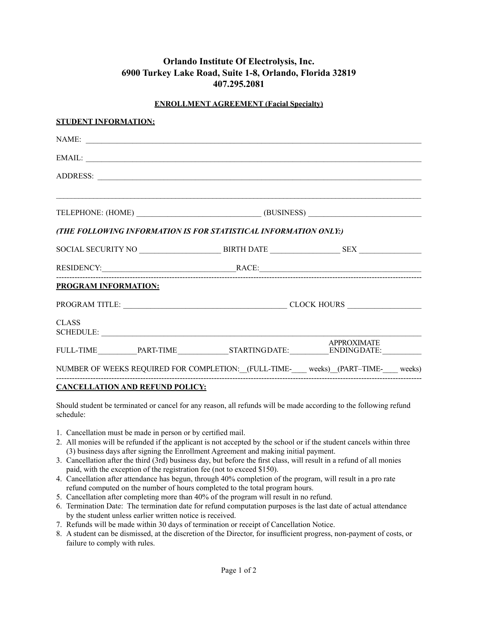# **Orlando Institute Of Electrolysis, Inc. 6900 Turkey Lake Road, Suite 1-8, Orlando, Florida 32819 407.295.2081**

## **ENROLLMENT AGREEMENT (Facial Specialty)**

| <b>STUDENT INFORMATION:</b> |                                                                                   |                                                                                       |                    |  |
|-----------------------------|-----------------------------------------------------------------------------------|---------------------------------------------------------------------------------------|--------------------|--|
|                             |                                                                                   | NAME:                                                                                 |                    |  |
|                             |                                                                                   | EMAIL:                                                                                |                    |  |
|                             |                                                                                   |                                                                                       |                    |  |
|                             |                                                                                   |                                                                                       |                    |  |
|                             | TELEPHONE: (HOME) ______________________________(BUSINESS) ______________________ |                                                                                       |                    |  |
|                             |                                                                                   | (THE FOLLOWING INFORMATION IS FOR STATISTICAL INFORMATION ONLY:)                      |                    |  |
|                             |                                                                                   |                                                                                       |                    |  |
|                             |                                                                                   |                                                                                       |                    |  |
| <b>PROGRAM INFORMATION:</b> |                                                                                   |                                                                                       |                    |  |
|                             |                                                                                   | PROGRAM TITLE: CLOCK HOURS                                                            |                    |  |
| <b>CLASS</b>                |                                                                                   |                                                                                       |                    |  |
|                             |                                                                                   |                                                                                       | <b>APPROXIMATE</b> |  |
|                             |                                                                                   | NUMBER OF WEEKS REQUIRED FOR COMPLETION: [FULL-TIME-____ weeks) (PART-TIME-___ weeks) |                    |  |

#### **CANCELLATION AND REFUND POLICY:**

Should student be terminated or cancel for any reason, all refunds will be made according to the following refund schedule:

- 1. Cancellation must be made in person or by certified mail.
- 2. All monies will be refunded if the applicant is not accepted by the school or if the student cancels within three (3) business days after signing the Enrollment Agreement and making initial payment.
- 3. Cancellation after the third (3rd) business day, but before the first class, will result in a refund of all monies paid, with the exception of the registration fee (not to exceed \$150).
- 4. Cancellation after attendance has begun, through 40% completion of the program, will result in a pro rate refund computed on the number of hours completed to the total program hours.
- 5. Cancellation after completing more than 40% of the program will result in no refund.
- 6. Termination Date: The termination date for refund computation purposes is the last date of actual attendance by the student unless earlier written notice is received.
- 7. Refunds will be made within 30 days of termination or receipt of Cancellation Notice.
- 8. A student can be dismissed, at the discretion of the Director, for insufficient progress, non-payment of costs, or failure to comply with rules.